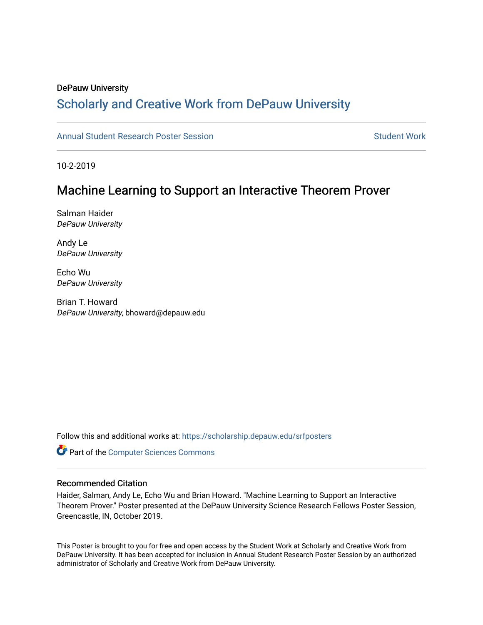### DePauw University

### Scholarly and [Creative Work from DePauw Univ](https://scholarship.depauw.edu/)ersity

[Annual Student Research Poster Session](https://scholarship.depauw.edu/srfposters) Student Work

10-2-2019

### Machine Learning to Support an Interactive Theorem Prover

Salman Haider DePauw University

Andy Le DePauw University

Echo Wu DePauw University

Brian T. Howard DePauw University, bhoward@depauw.edu

Follow this and additional works at: [https://scholarship.depauw.edu/srfposters](https://scholarship.depauw.edu/srfposters?utm_source=scholarship.depauw.edu%2Fsrfposters%2F23&utm_medium=PDF&utm_campaign=PDFCoverPages) 

**Part of the [Computer Sciences Commons](https://network.bepress.com/hgg/discipline/142?utm_source=scholarship.depauw.edu%2Fsrfposters%2F23&utm_medium=PDF&utm_campaign=PDFCoverPages)** 

### Recommended Citation

Haider, Salman, Andy Le, Echo Wu and Brian Howard. "Machine Learning to Support an Interactive Theorem Prover." Poster presented at the DePauw University Science Research Fellows Poster Session, Greencastle, IN, October 2019.

This Poster is brought to you for free and open access by the Student Work at Scholarly and Creative Work from DePauw University. It has been accepted for inclusion in Annual Student Research Poster Session by an authorized administrator of Scholarly and Creative Work from DePauw University.